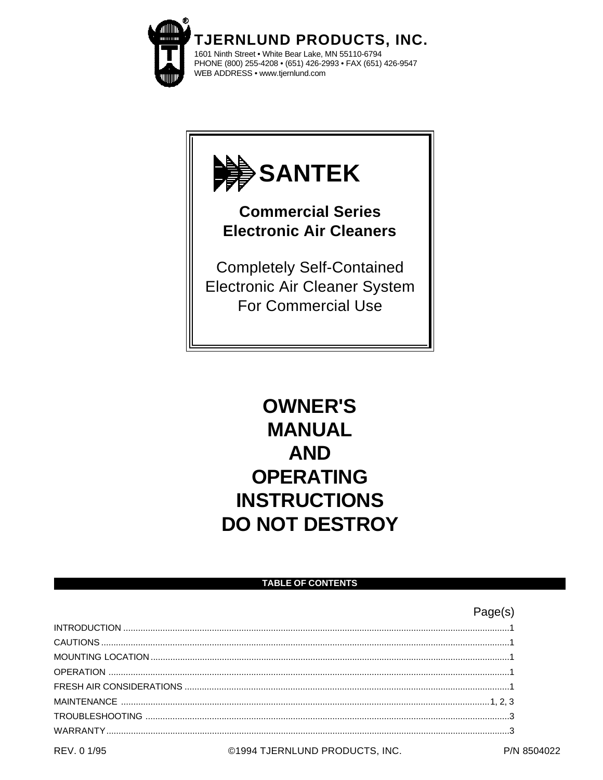



# **OWNER'S MANUAL AND OPERATING INSTRUCTIONS DO NOT DESTROY**

# **TABLE OF CONTENTS**

|             |                                | Page(s) |
|-------------|--------------------------------|---------|
|             |                                |         |
|             |                                |         |
|             |                                |         |
|             |                                |         |
|             |                                |         |
|             |                                |         |
|             |                                |         |
|             |                                |         |
| REV. 0 1/95 | ©1994 TJERNLUND PRODUCTS, INC. |         |

P/N 8504022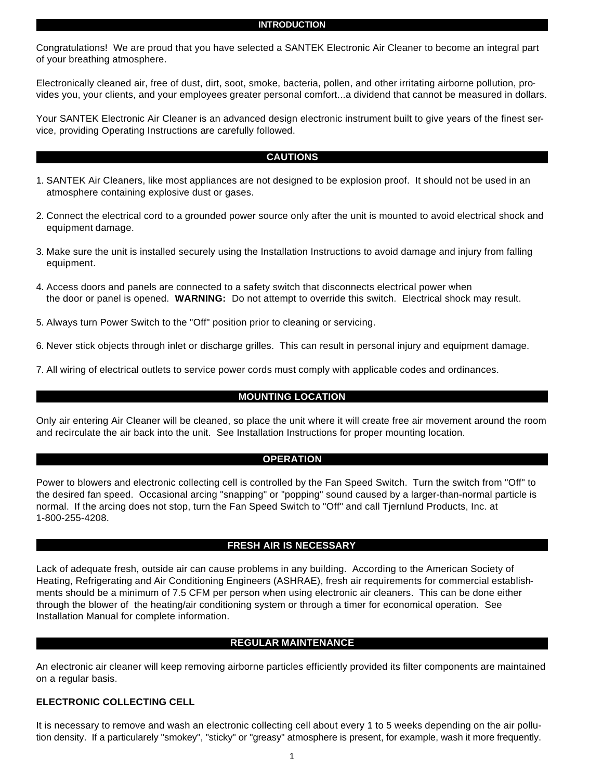#### **INTRODUCTION**

Congratulations! We are proud that you have selected a SANTEK Electronic Air Cleaner to become an integral part of your breathing atmosphere.

Electronically cleaned air, free of dust, dirt, soot, smoke, bacteria, pollen, and other irritating airborne pollution, provides you, your clients, and your employees greater personal comfort...a dividend that cannot be measured in dollars.

Your SANTEK Electronic Air Cleaner is an advanced design electronic instrument built to give years of the finest service, providing Operating Instructions are carefully followed.

# **CAUTIONS**

- 1. SANTEK Air Cleaners, like most appliances are not designed to be explosion proof. It should not be used in an atmosphere containing explosive dust or gases.
- 2. Connect the electrical cord to a grounded power source only after the unit is mounted to avoid electrical shock and equipment damage.
- 3. Make sure the unit is installed securely using the Installation Instructions to avoid damage and injury from falling equipment.
- 4. Access doors and panels are connected to a safety switch that disconnects electrical power when the door or panel is opened. **WARNING:** Do not attempt to override this switch. Electrical shock may result.
- 5. Always turn Power Switch to the "Off" position prior to cleaning or servicing.
- 6. Never stick objects through inlet or discharge grilles. This can result in personal injury and equipment damage.
- 7. All wiring of electrical outlets to service power cords must comply with applicable codes and ordinances.

# **MOUNTING LOCATION**

Only air entering Air Cleaner will be cleaned, so place the unit where it will create free air movement around the room and recirculate the air back into the unit. See Installation Instructions for proper mounting location.

#### **OPERATION**

Power to blowers and electronic collecting cell is controlled by the Fan Speed Switch. Turn the switch from "Off" to the desired fan speed. Occasional arcing "snapping" or "popping" sound caused by a larger-than-normal particle is normal. If the arcing does not stop, turn the Fan Speed Switch to "Off" and call Tjernlund Products, Inc. at 1-800-255-4208.

#### **FRESH AIR IS NECESSARY**

Lack of adequate fresh, outside air can cause problems in any building. According to the American Society of Heating, Refrigerating and Air Conditioning Engineers (ASHRAE), fresh air requirements for commercial establishments should be a minimum of 7.5 CFM per person when using electronic air cleaners. This can be done either through the blower of the heating/air conditioning system or through a timer for economical operation. See Installation Manual for complete information.

# **REGULAR MAINTENANCE**

An electronic air cleaner will keep removing airborne particles efficiently provided its filter components are maintained on a regular basis.

# **ELECTRONIC COLLECTING CELL**

It is necessary to remove and wash an electronic collecting cell about every 1 to 5 weeks depending on the air pollution density. If a particularely "smokey", "sticky" or "greasy" atmosphere is present, for example, wash it more frequently.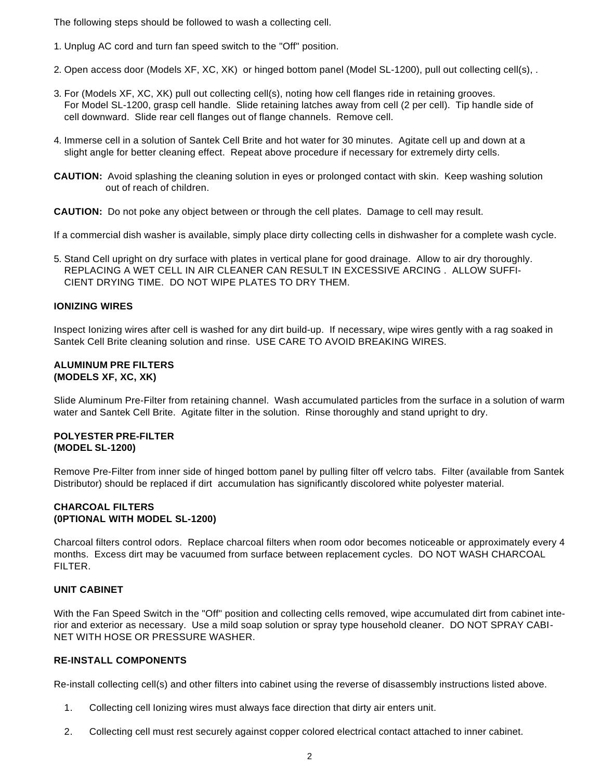The following steps should be followed to wash a collecting cell.

- 1. Unplug AC cord and turn fan speed switch to the "Off" position.
- 2. Open access door (Models XF, XC, XK) or hinged bottom panel (Model SL-1200), pull out collecting cell(s), .
- 3. For (Models XF, XC, XK) pull out collecting cell(s), noting how cell flanges ride in retaining grooves. For Model SL-1200, grasp cell handle. Slide retaining latches away from cell (2 per cell). Tip handle side of cell downward. Slide rear cell flanges out of flange channels. Remove cell.
- 4. Immerse cell in a solution of Santek Cell Brite and hot water for 30 minutes. Agitate cell up and down at a slight angle for better cleaning effect. Repeat above procedure if necessary for extremely dirty cells.
- **CAUTION:** Avoid splashing the cleaning solution in eyes or prolonged contact with skin. Keep washing solution out of reach of children.

**CAUTION:** Do not poke any object between or through the cell plates. Damage to cell may result.

If a commercial dish washer is available, simply place dirty collecting cells in dishwasher for a complete wash cycle.

5. Stand Cell upright on dry surface with plates in vertical plane for good drainage. Allow to air dry thoroughly. REPLACING A WET CELL IN AIR CLEANER CAN RESULT IN EXCESSIVE ARCING . ALLOW SUFFI-CIENT DRYING TIME. DO NOT WIPE PLATES TO DRY THEM.

# **IONIZING WIRES**

Inspect Ionizing wires after cell is washed for any dirt build-up. If necessary, wipe wires gently with a rag soaked in Santek Cell Brite cleaning solution and rinse. USE CARE TO AVOID BREAKING WIRES.

#### **ALUMINUM PRE FILTERS (MODELS XF, XC, XK)**

Slide Aluminum Pre-Filter from retaining channel. Wash accumulated particles from the surface in a solution of warm water and Santek Cell Brite. Agitate filter in the solution. Rinse thoroughly and stand upright to dry.

### **POLYESTER PRE-FILTER (MODEL SL-1200)**

Remove Pre-Filter from inner side of hinged bottom panel by pulling filter off velcro tabs. Filter (available from Santek Distributor) should be replaced if dirt accumulation has significantly discolored white polyester material.

# **CHARCOAL FILTERS (0PTIONAL WITH MODEL SL-1200)**

Charcoal filters control odors. Replace charcoal filters when room odor becomes noticeable or approximately every 4 months. Excess dirt may be vacuumed from surface between replacement cycles. DO NOT WASH CHARCOAL FILTER.

# **UNIT CABINET**

With the Fan Speed Switch in the "Off" position and collecting cells removed, wipe accumulated dirt from cabinet interior and exterior as necessary. Use a mild soap solution or spray type household cleaner. DO NOT SPRAY CABI-NET WITH HOSE OR PRESSURE WASHER.

# **RE-INSTALL COMPONENTS**

Re-install collecting cell(s) and other filters into cabinet using the reverse of disassembly instructions listed above.

- 1. Collecting cell Ionizing wires must always face direction that dirty air enters unit.
- 2. Collecting cell must rest securely against copper colored electrical contact attached to inner cabinet.